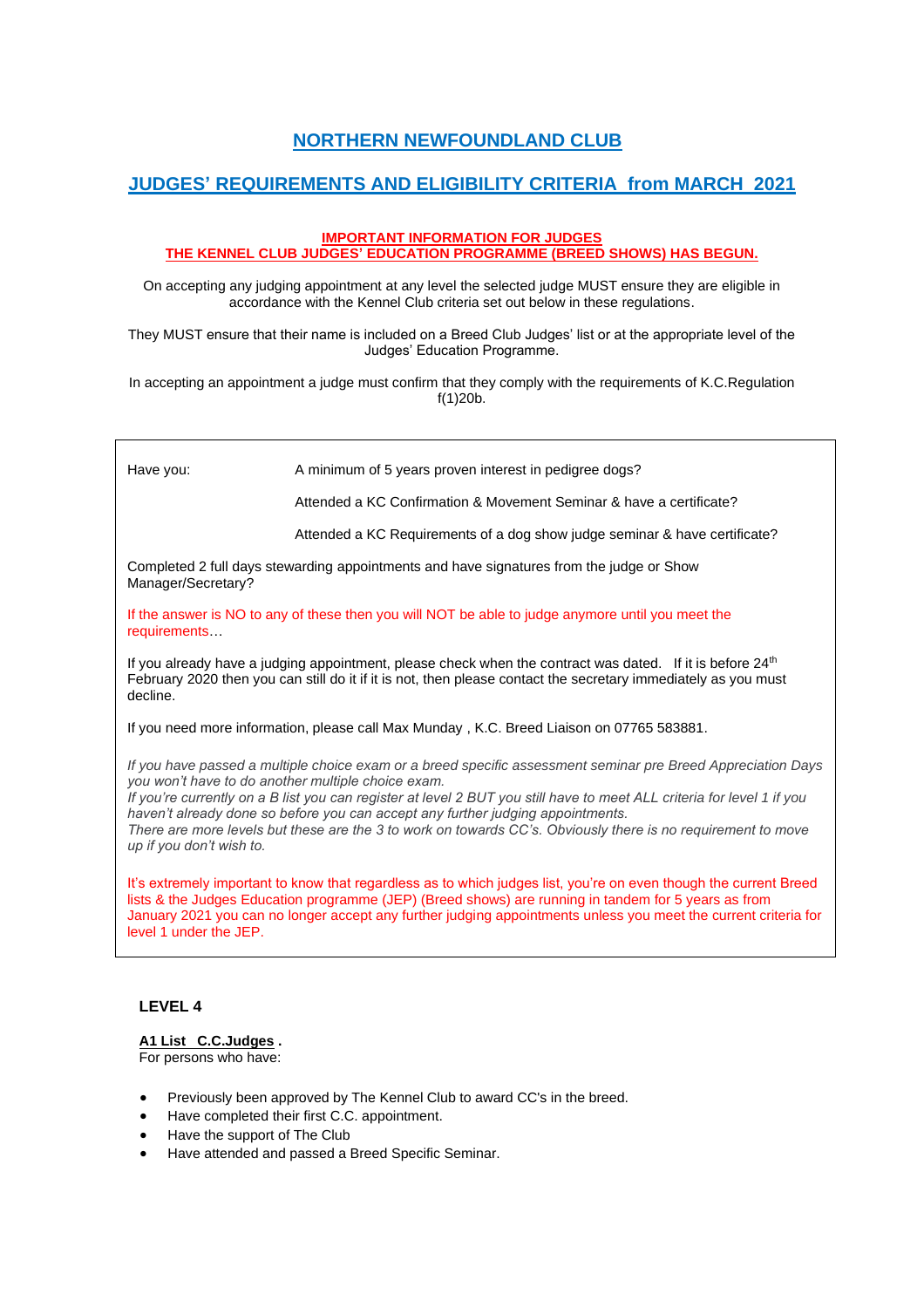# **NORTHERN NEWFOUNDLAND CLUB**

## **JUDGES' REQUIREMENTS AND ELIGIBILITY CRITERIA from MARCH 2021**

#### **IMPORTANT INFORMATION FOR JUDGES THE KENNEL CLUB JUDGES' EDUCATION PROGRAMME (BREED SHOWS) HAS BEGUN.**

On accepting any judging appointment at any level the selected judge MUST ensure they are eligible in accordance with the Kennel Club criteria set out below in these regulations.

They MUST ensure that their name is included on a Breed Club Judges' list or at the appropriate level of the Judges' Education Programme.

In accepting an appointment a judge must confirm that they comply with the requirements of K.C.Regulation f(1)20b.

| Have you:                                                                                                                                                                                                                                                                                                                                                                                                                                                                                                                   | A minimum of 5 years proven interest in pedigree dogs?                     |
|-----------------------------------------------------------------------------------------------------------------------------------------------------------------------------------------------------------------------------------------------------------------------------------------------------------------------------------------------------------------------------------------------------------------------------------------------------------------------------------------------------------------------------|----------------------------------------------------------------------------|
|                                                                                                                                                                                                                                                                                                                                                                                                                                                                                                                             | Attended a KC Confirmation & Movement Seminar & have a certificate?        |
|                                                                                                                                                                                                                                                                                                                                                                                                                                                                                                                             | Attended a KC Requirements of a dog show judge seminar & have certificate? |
| Completed 2 full days stewarding appointments and have signatures from the judge or Show<br>Manager/Secretary?                                                                                                                                                                                                                                                                                                                                                                                                              |                                                                            |
| If the answer is NO to any of these then you will NOT be able to judge anymore until you meet the<br>requirements                                                                                                                                                                                                                                                                                                                                                                                                           |                                                                            |
| If you already have a judging appointment, please check when the contract was dated. If it is before 24 <sup>th</sup><br>February 2020 then you can still do it if it is not, then please contact the secretary immediately as you must<br>decline.                                                                                                                                                                                                                                                                         |                                                                            |
| If you need more information, please call Max Munday, K.C. Breed Liaison on 07765 583881.                                                                                                                                                                                                                                                                                                                                                                                                                                   |                                                                            |
| If you have passed a multiple choice exam or a breed specific assessment seminar pre Breed Appreciation Days<br>you won't have to do another multiple choice exam.<br>If you're currently on a B list you can register at level 2 BUT you still have to meet ALL criteria for level 1 if you<br>haven't already done so before you can accept any further judging appointments.<br>There are more levels but these are the 3 to work on towards CC's. Obviously there is no requirement to move<br>up if you don't wish to. |                                                                            |
| It's extremely important to know that regardless as to which judges list, you're on even though the current Breed<br>lists & the Judges Education programme (JEP) (Breed shows) are running in tandem for 5 years as from<br>January 2021 you can no longer accept any further judging appointments unless you meet the current criteria for<br>level 1 under the JEP.                                                                                                                                                      |                                                                            |

#### **LEVEL 4**

#### **A1 List C.C.Judges .**

For persons who have:

- Previously been approved by The Kennel Club to award CC's in the breed.
- Have completed their first C.C. appointment.
- Have the support of The Club
- Have attended and passed a Breed Specific Seminar.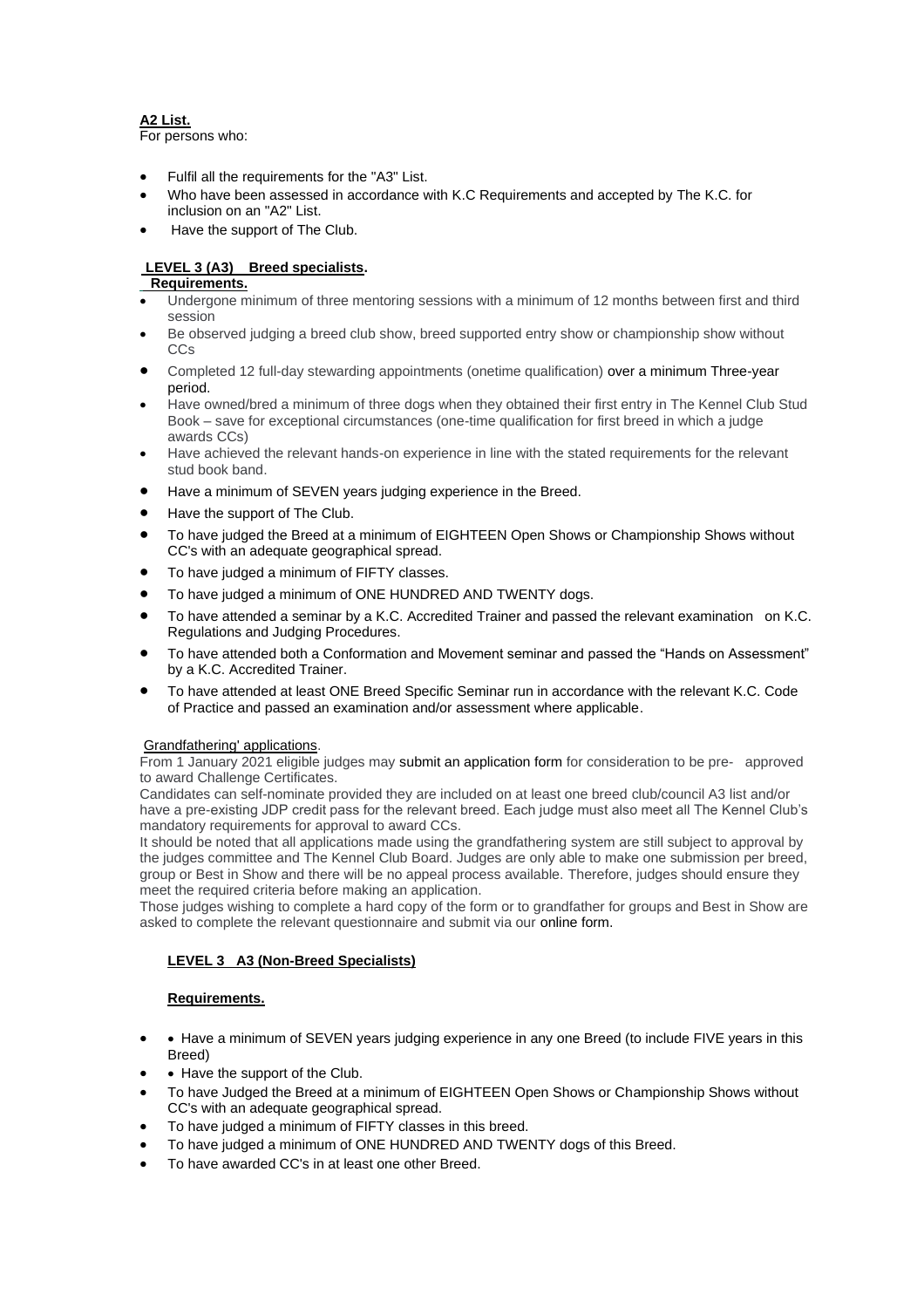### **A2 List.**

For persons who:

- Fulfil all the requirements for the "A3" List.
- Who have been assessed in accordance with K.C Requirements and accepted by The K.C. for inclusion on an "A2" List.
- Have the support of The Club.

#### **LEVEL 3 (A3) Breed specialists.**

#### **Requirements.**

- Undergone minimum of three mentoring sessions with a minimum of 12 months between first and third session
- Be observed judging a breed club show, breed supported entry show or championship show without CCs
- Completed 12 full-day stewarding appointments (onetime qualification) over a minimum Three-year period.
- Have owned/bred a minimum of three dogs when they obtained their first entry in The Kennel Club Stud Book – save for exceptional circumstances (one-time qualification for first breed in which a judge awards CCs)
- Have achieved the relevant hands-on experience in line with the stated requirements for the relevant stud book band.
- Have a minimum of SEVEN years judging experience in the Breed.
- Have the support of The Club.
- To have judged the Breed at a minimum of EIGHTEEN Open Shows or Championship Shows without CC's with an adequate geographical spread.
- To have judged a minimum of FIFTY classes.
- To have judged a minimum of ONE HUNDRED AND TWENTY dogs.
- To have attended a seminar by a K.C. Accredited Trainer and passed the relevant examination on K.C. Regulations and Judging Procedures.
- To have attended both a Conformation and Movement seminar and passed the "Hands on Assessment" by a K.C. Accredited Trainer.
- To have attended at least ONE Breed Specific Seminar run in accordance with the relevant K.C. Code of Practice and passed an examination and/or assessment where applicable.

#### Grandfathering' applications.

From 1 January 2021 eligible judges may submit an application form for consideration to be pre- approved to award Challenge Certificates.

Candidates can self-nominate provided they are included on at least one breed club/council A3 list and/or have a pre-existing JDP credit pass for the relevant breed. Each judge must also meet all The Kennel Club's mandatory requirements for approval to award CCs.

It should be noted that all applications made using the grandfathering system are still subject to approval by the judges committee and The Kennel Club Board. Judges are only able to make one submission per breed, group or Best in Show and there will be no appeal process available. Therefore, judges should ensure they meet the required criteria before making an application.

Those judges wishing to complete a hard copy of the form or to grandfather for groups and Best in Show are asked to complete the relevant questionnaire and submit via our online form.

#### **LEVEL 3 A3 (Non-Breed Specialists)**

#### **Requirements.**

- • Have a minimum of SEVEN years judging experience in any one Breed (to include FIVE years in this Breed)
- Have the support of the Club.
- To have Judged the Breed at a minimum of EIGHTEEN Open Shows or Championship Shows without CC's with an adequate geographical spread.
- To have judged a minimum of FIFTY classes in this breed.
- To have judged a minimum of ONE HUNDRED AND TWENTY dogs of this Breed.
- To have awarded CC's in at least one other Breed.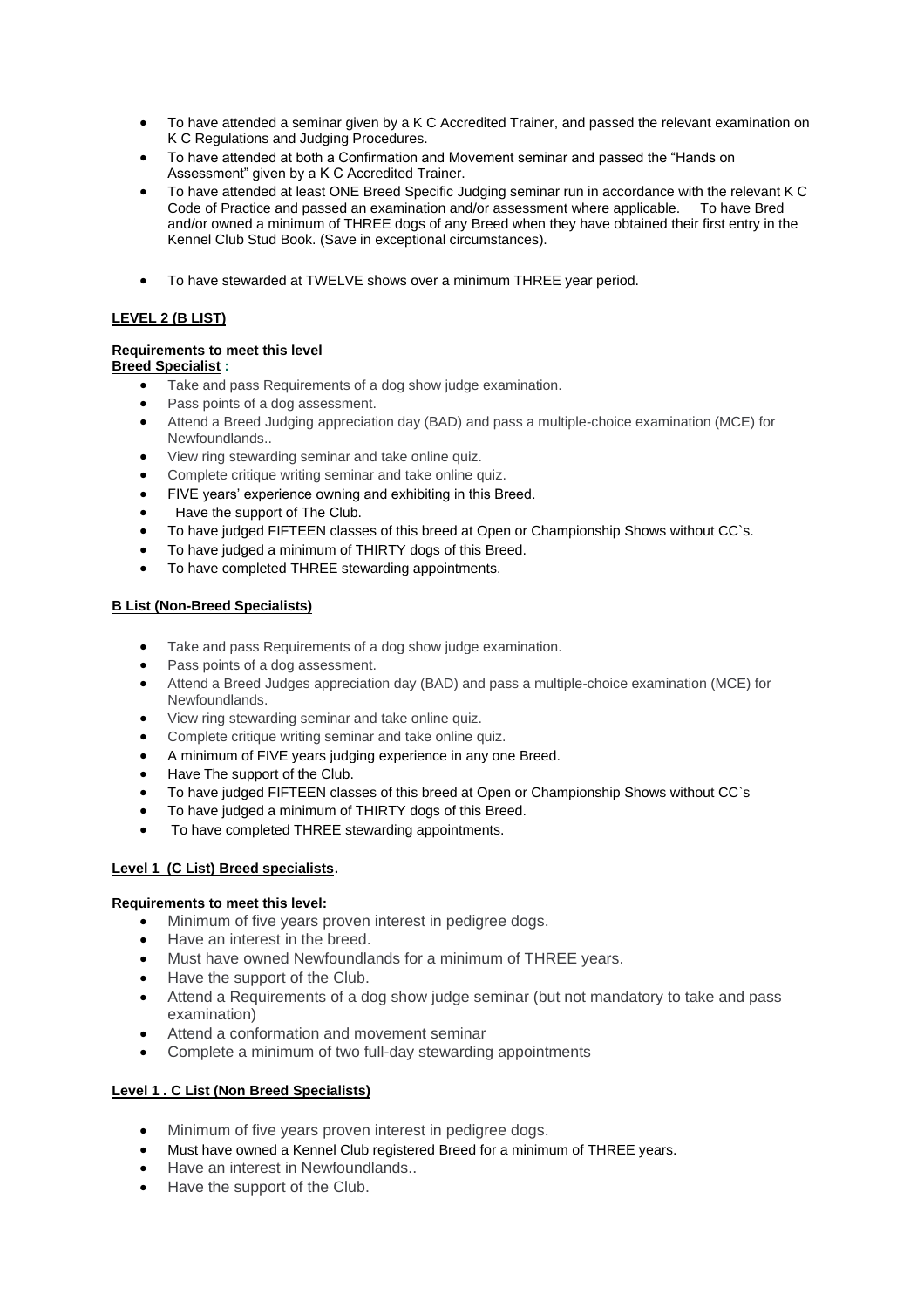- To have attended a seminar given by a K C Accredited Trainer, and passed the relevant examination on K C Regulations and Judging Procedures.
- To have attended at both a Confirmation and Movement seminar and passed the "Hands on Assessment" given by a K C Accredited Trainer.
- To have attended at least ONE Breed Specific Judging seminar run in accordance with the relevant K C Code of Practice and passed an examination and/or assessment where applicable. To have Bred and/or owned a minimum of THREE dogs of any Breed when they have obtained their first entry in the Kennel Club Stud Book. (Save in exceptional circumstances).
- To have stewarded at TWELVE shows over a minimum THREE year period.

## **LEVEL 2 (B LIST)**

# **Requirements to meet this level**

**Breed Specialist :** 

- Take and pass Requirements of a dog show judge examination.
- Pass points of a dog assessment.
- Attend a Breed Judging appreciation day (BAD) and pass a multiple-choice examination (MCE) for Newfoundlands..
- View ring stewarding seminar and take online quiz.
- Complete critique writing seminar and take online quiz.
- FIVE years' experience owning and exhibiting in this Breed.
- Have the support of The Club.
- To have judged FIFTEEN classes of this breed at Open or Championship Shows without CC`s.
- To have judged a minimum of THIRTY dogs of this Breed.
- To have completed THREE stewarding appointments.

### **B List (Non-Breed Specialists)**

- Take and pass Requirements of a dog show judge examination.
- Pass points of a dog assessment.
- Attend a Breed Judges appreciation day (BAD) and pass a multiple-choice examination (MCE) for Newfoundlands.
- View ring stewarding seminar and take online quiz.
- Complete critique writing seminar and take online quiz.
- A minimum of FIVE years judging experience in any one Breed.
- Have The support of the Club.
- To have judged FIFTEEN classes of this breed at Open or Championship Shows without CC`s
- To have judged a minimum of THIRTY dogs of this Breed.
- To have completed THREE stewarding appointments.

## **Level 1 (C List) Breed specialists**.

#### **Requirements to meet this level:**

- Minimum of five years proven interest in pedigree dogs.
- Have an interest in the breed.
- Must have owned Newfoundlands for a minimum of THREE years.
- Have the support of the Club.
- Attend a Requirements of a dog show judge seminar (but not mandatory to take and pass examination)
- Attend a conformation and movement seminar
- Complete a minimum of two full-day stewarding appointments

## **Level 1 . C List (Non Breed Specialists)**

- Minimum of five years proven interest in pedigree dogs.
- Must have owned a Kennel Club registered Breed for a minimum of THREE years.
- Have an interest in Newfoundlands..
- Have the support of the Club.